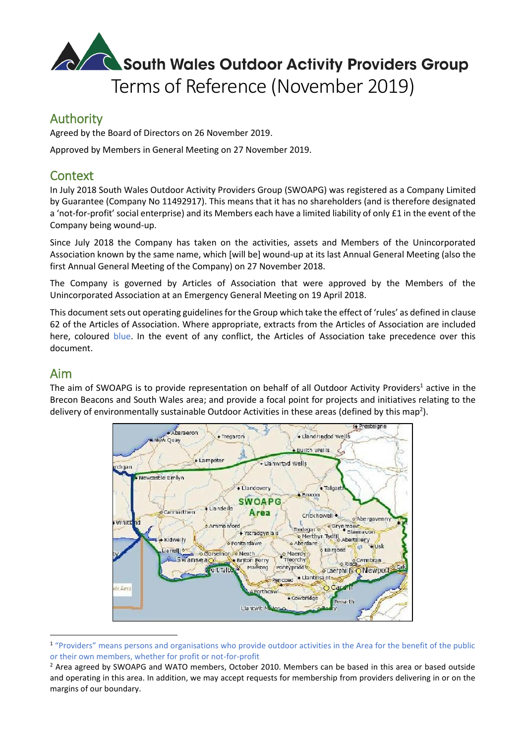# South Wales Outdoor Activity Providers Group Terms of Reference (November 2019)

# Authority

Agreed by the Board of Directors on 26 November 2019.

Approved by Members in General Meeting on 27 November 2019.

# **Context**

In July 2018 South Wales Outdoor Activity Providers Group (SWOAPG) was registered as a Company Limited by Guarantee (Company No 11492917). This means that it has no shareholders (and is therefore designated a 'not-for-profit' social enterprise) and its Members each have a limited liability of only £1 in the event of the Company being wound-up.

Since July 2018 the Company has taken on the activities, assets and Members of the Unincorporated Association known by the same name, which [will be] wound-up at its last Annual General Meeting (also the first Annual General Meeting of the Company) on 27 November 2018.

The Company is governed by Articles of Association that were approved by the Members of the Unincorporated Association at an Emergency General Meeting on 19 April 2018.

This document sets out operating guidelines for the Group which take the effect of 'rules' as defined in clause 62 of the Articles of Association. Where appropriate, extracts from the Articles of Association are included here, coloured blue. In the event of any conflict, the Articles of Association take precedence over this document.

### Aim

**.** 

The aim of SWOAPG is to provide representation on behalf of all Outdoor Activity Providers<sup>1</sup> active in the Brecon Beacons and South Wales area; and provide a focal point for projects and initiatives relating to the delivery of environmentally sustainable Outdoor Activities in these areas (defined by this map<sup>2</sup>).



<sup>&</sup>lt;sup>1</sup> "Providers" means persons and organisations who provide outdoor activities in the Area for the benefit of the public or their own members, whether for profit or not-for-profit

<sup>&</sup>lt;sup>2</sup> Area agreed by SWOAPG and WATO members, October 2010. Members can be based in this area or based outside and operating in this area. In addition, we may accept requests for membership from providers delivering in or on the margins of our boundary.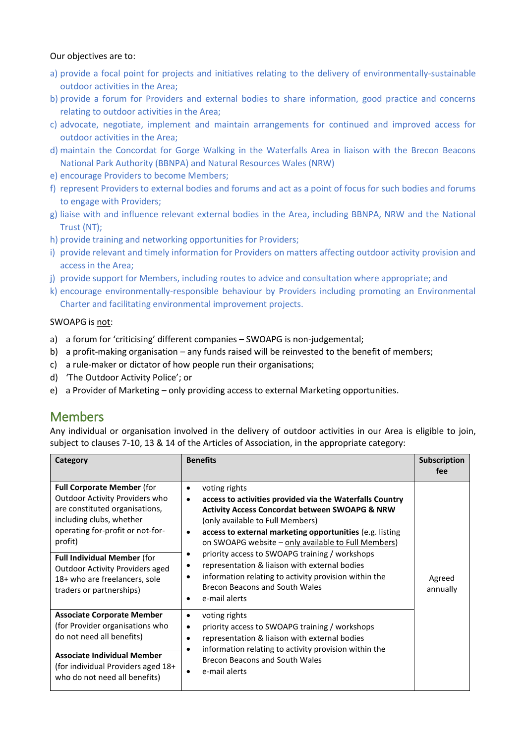### Our objectives are to:

- a) provide a focal point for projects and initiatives relating to the delivery of environmentally-sustainable outdoor activities in the Area;
- b) provide a forum for Providers and external bodies to share information, good practice and concerns relating to outdoor activities in the Area;
- c) advocate, negotiate, implement and maintain arrangements for continued and improved access for outdoor activities in the Area;
- d) maintain the Concordat for Gorge Walking in the Waterfalls Area in liaison with the Brecon Beacons National Park Authority (BBNPA) and Natural Resources Wales (NRW)
- e) encourage Providers to become Members;
- f) represent Providers to external bodies and forums and act as a point of focus for such bodies and forums to engage with Providers;
- g) liaise with and influence relevant external bodies in the Area, including BBNPA, NRW and the National Trust (NT);
- h) provide training and networking opportunities for Providers;
- i) provide relevant and timely information for Providers on matters affecting outdoor activity provision and access in the Area;
- j) provide support for Members, including routes to advice and consultation where appropriate; and
- k) encourage environmentally-responsible behaviour by Providers including promoting an Environmental Charter and facilitating environmental improvement projects.

#### SWOAPG is not:

- a) a forum for 'criticising' different companies SWOAPG is non-judgemental;
- b) a profit-making organisation any funds raised will be reinvested to the benefit of members;
- c) a rule-maker or dictator of how people run their organisations;
- d) 'The Outdoor Activity Police'; or
- e) a Provider of Marketing only providing access to external Marketing opportunities.

## Members

Any individual or organisation involved in the delivery of outdoor activities in our Area is eligible to join, subject to clauses 7-10, 13 & 14 of the Articles of Association, in the appropriate category:

| Category                                                                                                                                                                                                                                                                                                                      | <b>Benefits</b>                                                                                                                                                                                                                                                                                                                                                                                                                                                                                                                                                                         | Subscription<br>fee |
|-------------------------------------------------------------------------------------------------------------------------------------------------------------------------------------------------------------------------------------------------------------------------------------------------------------------------------|-----------------------------------------------------------------------------------------------------------------------------------------------------------------------------------------------------------------------------------------------------------------------------------------------------------------------------------------------------------------------------------------------------------------------------------------------------------------------------------------------------------------------------------------------------------------------------------------|---------------------|
| <b>Full Corporate Member (for</b><br>Outdoor Activity Providers who<br>are constituted organisations,<br>including clubs, whether<br>operating for-profit or not-for-<br>profit)<br><b>Full Individual Member (for</b><br><b>Outdoor Activity Providers aged</b><br>18+ who are freelancers, sole<br>traders or partnerships) | voting rights<br>$\bullet$<br>access to activities provided via the Waterfalls Country<br>$\bullet$<br><b>Activity Access Concordat between SWOAPG &amp; NRW</b><br>(only available to Full Members)<br>access to external marketing opportunities (e.g. listing<br>$\bullet$<br>on SWOAPG website - only available to Full Members)<br>priority access to SWOAPG training / workshops<br>٠<br>representation & liaison with external bodies<br>٠<br>information relating to activity provision within the<br>$\bullet$<br>Brecon Beacons and South Wales<br>e-mail alerts<br>$\bullet$ | Agreed<br>annually  |
| <b>Associate Corporate Member</b><br>(for Provider organisations who<br>do not need all benefits)<br><b>Associate Individual Member</b><br>(for individual Providers aged 18+<br>who do not need all benefits)                                                                                                                | voting rights<br>٠<br>priority access to SWOAPG training / workshops<br>$\bullet$<br>representation & liaison with external bodies<br>$\bullet$<br>information relating to activity provision within the<br>$\bullet$<br>Brecon Beacons and South Wales<br>e-mail alerts<br>$\bullet$                                                                                                                                                                                                                                                                                                   |                     |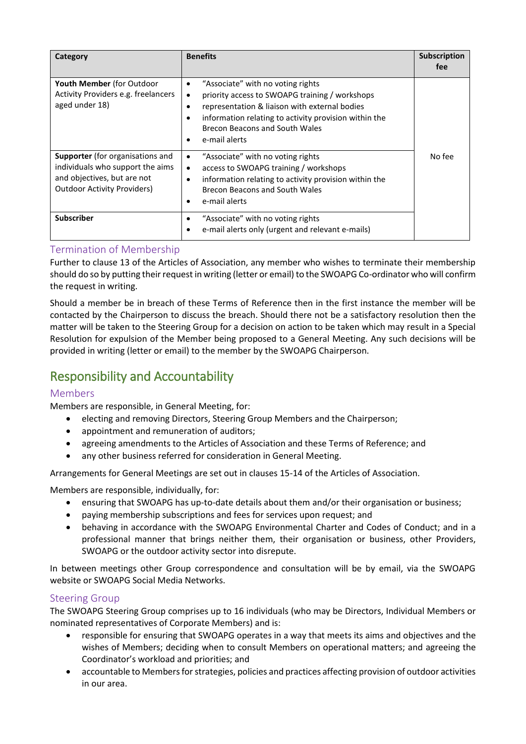| Category                                                                                                                                  | <b>Benefits</b>                                                                                                                                                                                                                                                                   | Subscription<br>fee |
|-------------------------------------------------------------------------------------------------------------------------------------------|-----------------------------------------------------------------------------------------------------------------------------------------------------------------------------------------------------------------------------------------------------------------------------------|---------------------|
| <b>Youth Member</b> (for Outdoor<br>Activity Providers e.g. freelancers<br>aged under 18)                                                 | "Associate" with no voting rights<br>$\bullet$<br>priority access to SWOAPG training / workshops<br>٠<br>representation & liaison with external bodies<br>٠<br>information relating to activity provision within the<br>C<br>Brecon Beacons and South Wales<br>e-mail alerts<br>٠ |                     |
| Supporter (for organisations and<br>individuals who support the aims<br>and objectives, but are not<br><b>Outdoor Activity Providers)</b> | "Associate" with no voting rights<br>٠<br>access to SWOAPG training / workshops<br>$\bullet$<br>information relating to activity provision within the<br>$\bullet$<br>Brecon Beacons and South Wales<br>e-mail alerts<br>$\bullet$                                                | No fee              |
| <b>Subscriber</b>                                                                                                                         | "Associate" with no voting rights<br>٠<br>e-mail alerts only (urgent and relevant e-mails)                                                                                                                                                                                        |                     |

### Termination of Membership

Further to clause 13 of the Articles of Association, any member who wishes to terminate their membership should do so by putting their request in writing (letter or email) to the SWOAPG Co-ordinator who will confirm the request in writing.

Should a member be in breach of these Terms of Reference then in the first instance the member will be contacted by the Chairperson to discuss the breach. Should there not be a satisfactory resolution then the matter will be taken to the Steering Group for a decision on action to be taken which may result in a Special Resolution for expulsion of the Member being proposed to a General Meeting. Any such decisions will be provided in writing (letter or email) to the member by the SWOAPG Chairperson.

# Responsibility and Accountability

### Members

Members are responsible, in General Meeting, for:

- electing and removing Directors, Steering Group Members and the Chairperson;
- appointment and remuneration of auditors;
- agreeing amendments to the Articles of Association and these Terms of Reference; and
- any other business referred for consideration in General Meeting.

Arrangements for General Meetings are set out in clauses 15-14 of the Articles of Association.

Members are responsible, individually, for:

- ensuring that SWOAPG has up-to-date details about them and/or their organisation or business;
- paying membership subscriptions and fees for services upon request; and
- behaving in accordance with the SWOAPG Environmental Charter and Codes of Conduct; and in a professional manner that brings neither them, their organisation or business, other Providers, SWOAPG or the outdoor activity sector into disrepute.

In between meetings other Group correspondence and consultation will be by email, via the SWOAPG website or SWOAPG Social Media Networks.

### Steering Group

The SWOAPG Steering Group comprises up to 16 individuals (who may be Directors, Individual Members or nominated representatives of Corporate Members) and is:

- responsible for ensuring that SWOAPG operates in a way that meets its aims and objectives and the wishes of Members; deciding when to consult Members on operational matters; and agreeing the Coordinator's workload and priorities; and
- accountable to Members for strategies, policies and practices affecting provision of outdoor activities in our area.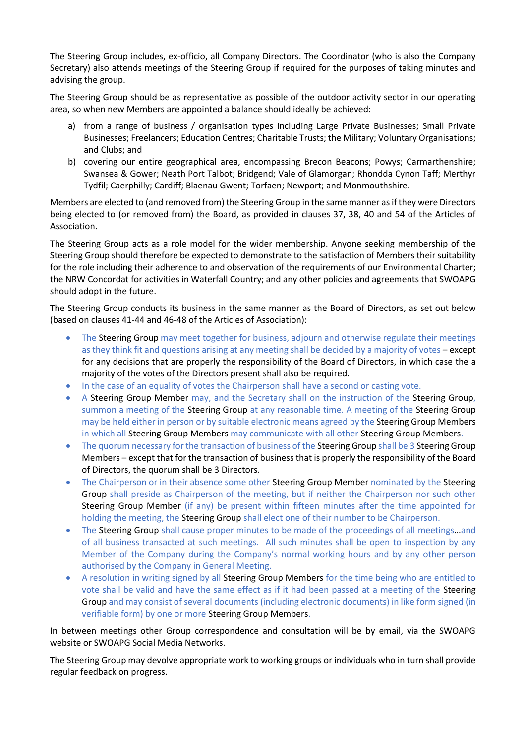The Steering Group includes, ex-officio, all Company Directors. The Coordinator (who is also the Company Secretary) also attends meetings of the Steering Group if required for the purposes of taking minutes and advising the group.

The Steering Group should be as representative as possible of the outdoor activity sector in our operating area, so when new Members are appointed a balance should ideally be achieved:

- a) from a range of business / organisation types including Large Private Businesses; Small Private Businesses; Freelancers; Education Centres; Charitable Trusts; the Military; Voluntary Organisations; and Clubs; and
- b) covering our entire geographical area, encompassing Brecon Beacons; Powys; Carmarthenshire; Swansea & Gower; Neath Port Talbot; Bridgend; Vale of Glamorgan; Rhondda Cynon Taff; Merthyr Tydfil; Caerphilly; Cardiff; Blaenau Gwent; Torfaen; Newport; and Monmouthshire.

Members are elected to (and removed from) the Steering Group in the same manner as if they were Directors being elected to (or removed from) the Board, as provided in clauses 37, 38, 40 and 54 of the Articles of Association.

The Steering Group acts as a role model for the wider membership. Anyone seeking membership of the Steering Group should therefore be expected to demonstrate to the satisfaction of Members their suitability for the role including their adherence to and observation of the requirements of our Environmental Charter; the NRW Concordat for activities in Waterfall Country; and any other policies and agreements that SWOAPG should adopt in the future.

The Steering Group conducts its business in the same manner as the Board of Directors, as set out below (based on clauses 41-44 and 46-48 of the Articles of Association):

- The Steering Group may meet together for business, adjourn and otherwise regulate their meetings as they think fit and questions arising at any meeting shall be decided by a majority of votes – except for any decisions that are properly the responsibility of the Board of Directors, in which case the a majority of the votes of the Directors present shall also be required.
- In the case of an equality of votes the Chairperson shall have a second or casting vote.
- A Steering Group Member may, and the Secretary shall on the instruction of the Steering Group, summon a meeting of the Steering Group at any reasonable time. A meeting of the Steering Group may be held either in person or by suitable electronic means agreed by the Steering Group Members in which all Steering Group Members may communicate with all other Steering Group Members.
- The quorum necessary for the transaction of business of the Steering Group shall be 3 Steering Group Members – except that for the transaction of business that is properly the responsibility of the Board of Directors, the quorum shall be 3 Directors.
- The Chairperson or in their absence some other Steering Group Member nominated by the Steering Group shall preside as Chairperson of the meeting, but if neither the Chairperson nor such other Steering Group Member (if any) be present within fifteen minutes after the time appointed for holding the meeting, the Steering Group shall elect one of their number to be Chairperson.
- The Steering Group shall cause proper minutes to be made of the proceedings of all meetings...and of all business transacted at such meetings. All such minutes shall be open to inspection by any Member of the Company during the Company's normal working hours and by any other person authorised by the Company in General Meeting.
- A resolution in writing signed by all Steering Group Members for the time being who are entitled to vote shall be valid and have the same effect as if it had been passed at a meeting of the Steering Group and may consist of several documents (including electronic documents) in like form signed (in verifiable form) by one or more Steering Group Members.

In between meetings other Group correspondence and consultation will be by email, via the SWOAPG website or SWOAPG Social Media Networks.

The Steering Group may devolve appropriate work to working groups or individuals who in turn shall provide regular feedback on progress.